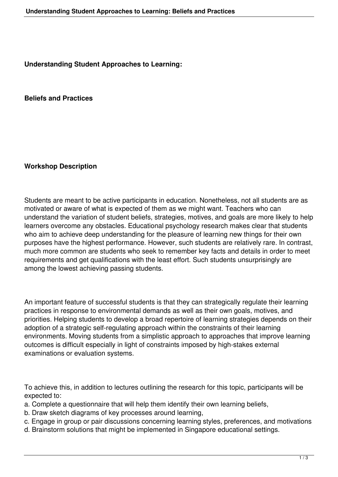**Understanding Student Approaches to Learning:** 

**Beliefs and Practices**

**Workshop Description**

Students are meant to be active participants in education. Nonetheless, not all students are as motivated or aware of what is expected of them as we might want. Teachers who can understand the variation of student beliefs, strategies, motives, and goals are more likely to help learners overcome any obstacles. Educational psychology research makes clear that students who aim to achieve deep understanding for the pleasure of learning new things for their own purposes have the highest performance. However, such students are relatively rare. In contrast, much more common are students who seek to remember key facts and details in order to meet requirements and get qualifications with the least effort. Such students unsurprisingly are among the lowest achieving passing students.

An important feature of successful students is that they can strategically regulate their learning practices in response to environmental demands as well as their own goals, motives, and priorities. Helping students to develop a broad repertoire of learning strategies depends on their adoption of a strategic self-regulating approach within the constraints of their learning environments. Moving students from a simplistic approach to approaches that improve learning outcomes is difficult especially in light of constraints imposed by high-stakes external examinations or evaluation systems.

To achieve this, in addition to lectures outlining the research for this topic, participants will be expected to:

- a. Complete a questionnaire that will help them identify their own learning beliefs,
- b. Draw sketch diagrams of key processes around learning,
- c. Engage in group or pair discussions concerning learning styles, preferences, and motivations
- d. Brainstorm solutions that might be implemented in Singapore educational settings.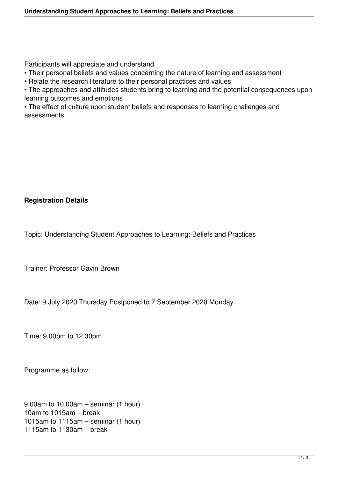Participants will appreciate and understand

- Their personal beliefs and values concerning the nature of learning and assessment
- Relate the research literature to their personal practices and values
- The approaches and attitudes students bring to learning and the potential consequences upon learning outcomes and emotions

• The effect of culture upon student beliefs and responses to learning challenges and assessments

## **Registration Details**

Topic: Understanding Student Approaches to Learning: Beliefs and Practices

Trainer: Professor Gavin Brown

Date: 9 July 2020 Thursday Postponed to 7 September 2020 Monday

Time: 9.00pm to 12.30pm

Programme as follow:

9.00am to 10.00am – seminar (1 hour) 10am to 1015am – break 1015am to 1115am – seminar (1 hour) 1115am to 1130am – break